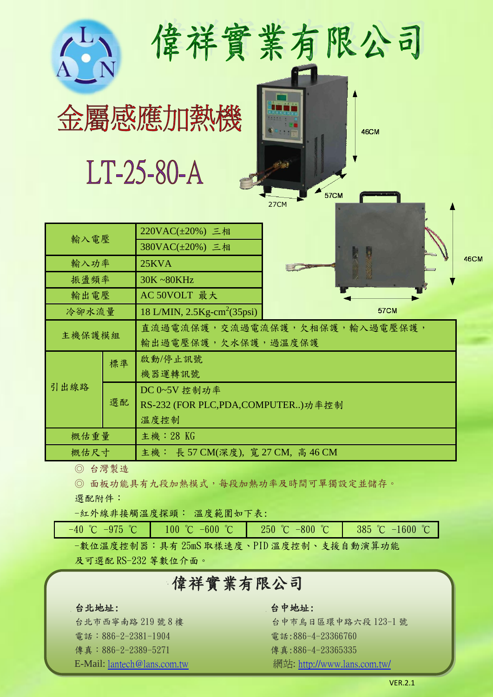|        |      | 偉祥實業有限公司<br>金屬感應加熱機<br>LT-25-80-A                   | <b>57CM</b><br>27CM | <b>46CM</b> |             |  |
|--------|------|-----------------------------------------------------|---------------------|-------------|-------------|--|
| 輸入電壓   |      | 220VAC(±20%) 三相<br>380VAC(±20%) 三相                  |                     |             |             |  |
| 輸入功率   |      | 25KVA                                               |                     |             | <b>46CM</b> |  |
| 振盪頻率   |      | 30K~80KHz                                           |                     |             |             |  |
| 輸出電壓   |      | AC 50VOLT 最大                                        |                     |             |             |  |
| 冷卻水流量  |      | 18 L/MIN, $2.5$ Kg-cm <sup>2</sup> (35psi)          |                     | <b>57CM</b> |             |  |
| 主機保護模組 |      | 直流過電流保護,交流過電流保護,欠相保護,輸入過電壓保護,<br>輸出過電壓保護,欠水保護,過溫度保護 |                     |             |             |  |
| 引出線路   | 標準   | 啟動/停止訊號<br>機器運轉訊號                                   |                     |             |             |  |
|        | 選配   | DC 0~5V 控制功率                                        |                     |             |             |  |
|        |      | RS-232 (FOR PLC,PDA,COMPUTER)功率控制                   |                     |             |             |  |
|        | 溫度控制 |                                                     |                     |             |             |  |
| 概估重量   |      | 主機: 28 KG                                           |                     |             |             |  |
| 概估尺寸   |      | 主機: 長 57 CM(深度), 寬 27 CM, 高 46 CM                   |                     |             |             |  |

◎ 台灣製造

◎ 面板功能具有九段加熱模式,每段加熱功率及時間可單獨設定並儲存。

選配附件:

-紅外線非接觸溫度探頭: 溫度範圍如下表:

 $-40$  °C  $-975$  °C  $-100$  °C  $-600$  °C  $-250$  °C  $-800$  °C  $-385$  °C  $-1600$  °C -數位溫度控制器:具有 25mS 取樣速度、PID 溫度控制、支援自動演算功能

及可選配 RS-232 等數位介面。

# 偉祥實業有限公司

### 台北地址: 台中地址:

電話:886-2-2381-1904 電話:886-4-23366760 **傳真:886-2-2389-5271 傳真:886-4-23365335** 

台北市西寧南路 219號 8樓 李 《 台中市烏日區環中路六段 123-1 號 E-Mail: <u>lantech@lans.com.tw</u> <br> <br> **E-Mail:** <u>lantech@lans.com.tw</u>